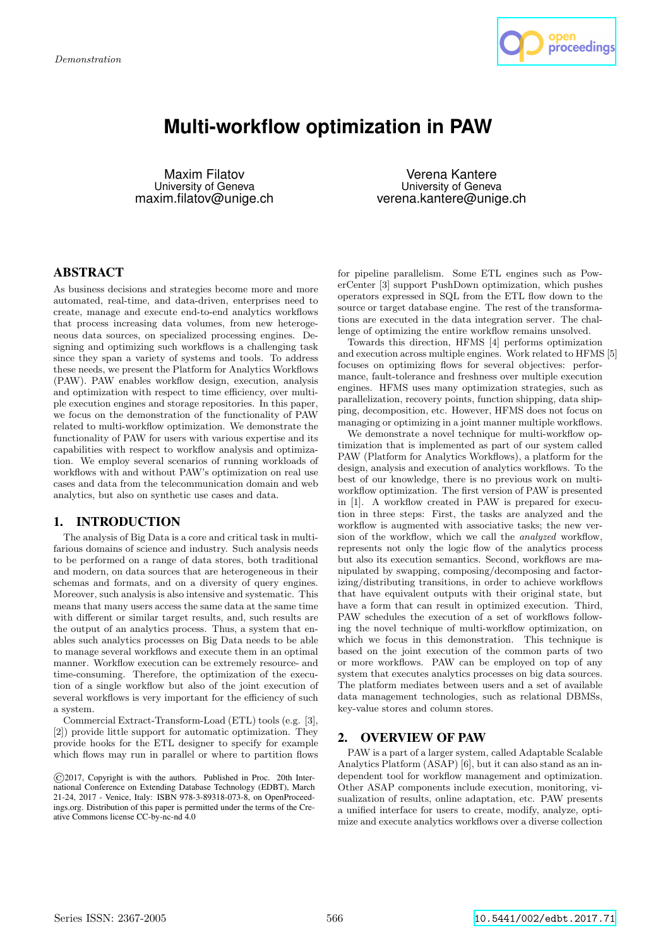

# **Multi-workflow optimization in PAW**

Maxim Filatov University of Geneva maxim.filatov@unige.ch

Verena Kantere University of Geneva verena.kantere@unige.ch

# ABSTRACT

As business decisions and strategies become more and more automated, real-time, and data-driven, enterprises need to create, manage and execute end-to-end analytics workflows that process increasing data volumes, from new heterogeneous data sources, on specialized processing engines. Designing and optimizing such workflows is a challenging task since they span a variety of systems and tools. To address these needs, we present the Platform for Analytics Workflows (PAW). PAW enables workflow design, execution, analysis and optimization with respect to time efficiency, over multiple execution engines and storage repositories. In this paper, we focus on the demonstration of the functionality of PAW related to multi-workflow optimization. We demonstrate the functionality of PAW for users with various expertise and its capabilities with respect to workflow analysis and optimization. We employ several scenarios of running workloads of workflows with and without PAW's optimization on real use cases and data from the telecommunication domain and web analytics, but also on synthetic use cases and data.

# 1. INTRODUCTION

The analysis of Big Data is a core and critical task in multifarious domains of science and industry. Such analysis needs to be performed on a range of data stores, both traditional and modern, on data sources that are heterogeneous in their schemas and formats, and on a diversity of query engines. Moreover, such analysis is also intensive and systematic. This means that many users access the same data at the same time with different or similar target results, and, such results are the output of an analytics process. Thus, a system that enables such analytics processes on Big Data needs to be able to manage several workflows and execute them in an optimal manner. Workflow execution can be extremely resource- and time-consuming. Therefore, the optimization of the execution of a single workflow but also of the joint execution of several workflows is very important for the efficiency of such a system.

Commercial Extract-Transform-Load (ETL) tools (e.g. [3], [2]) provide little support for automatic optimization. They provide hooks for the ETL designer to specify for example which flows may run in parallel or where to partition flows

for pipeline parallelism. Some ETL engines such as PowerCenter [3] support PushDown optimization, which pushes operators expressed in SQL from the ETL flow down to the source or target database engine. The rest of the transformations are executed in the data integration server. The challenge of optimizing the entire workflow remains unsolved.

Towards this direction, HFMS [4] performs optimization and execution across multiple engines. Work related to HFMS [5] focuses on optimizing flows for several objectives: performance, fault-tolerance and freshness over multiple execution engines. HFMS uses many optimization strategies, such as parallelization, recovery points, function shipping, data shipping, decomposition, etc. However, HFMS does not focus on managing or optimizing in a joint manner multiple workflows.

We demonstrate a novel technique for multi-workflow optimization that is implemented as part of our system called PAW (Platform for Analytics Workflows), a platform for the design, analysis and execution of analytics workflows. To the best of our knowledge, there is no previous work on multiworkflow optimization. The first version of PAW is presented in [1]. A workflow created in PAW is prepared for execution in three steps: First, the tasks are analyzed and the workflow is augmented with associative tasks; the new version of the workflow, which we call the analyzed workflow, represents not only the logic flow of the analytics process but also its execution semantics. Second, workflows are manipulated by swapping, composing/decomposing and factorizing/distributing transitions, in order to achieve workflows that have equivalent outputs with their original state, but have a form that can result in optimized execution. Third, PAW schedules the execution of a set of workflows following the novel technique of multi-workflow optimization, on which we focus in this demonstration. This technique is based on the joint execution of the common parts of two or more workflows. PAW can be employed on top of any system that executes analytics processes on big data sources. The platform mediates between users and a set of available data management technologies, such as relational DBMSs, key-value stores and column stores.

# 2. OVERVIEW OF PAW

PAW is a part of a larger system, called Adaptable Scalable Analytics Platform (ASAP) [6], but it can also stand as an independent tool for workflow management and optimization. Other ASAP components include execution, monitoring, visualization of results, online adaptation, etc. PAW presents a unified interface for users to create, modify, analyze, optimize and execute analytics workflows over a diverse collection

<sup>©</sup>2017, Copyright is with the authors. Published in Proc. 20th International Conference on Extending Database Technology (EDBT), March 21-24, 2017 - Venice, Italy: ISBN 978-3-89318-073-8, on OpenProceedings.org. Distribution of this paper is permitted under the terms of the Creative Commons license CC-by-nc-nd 4.0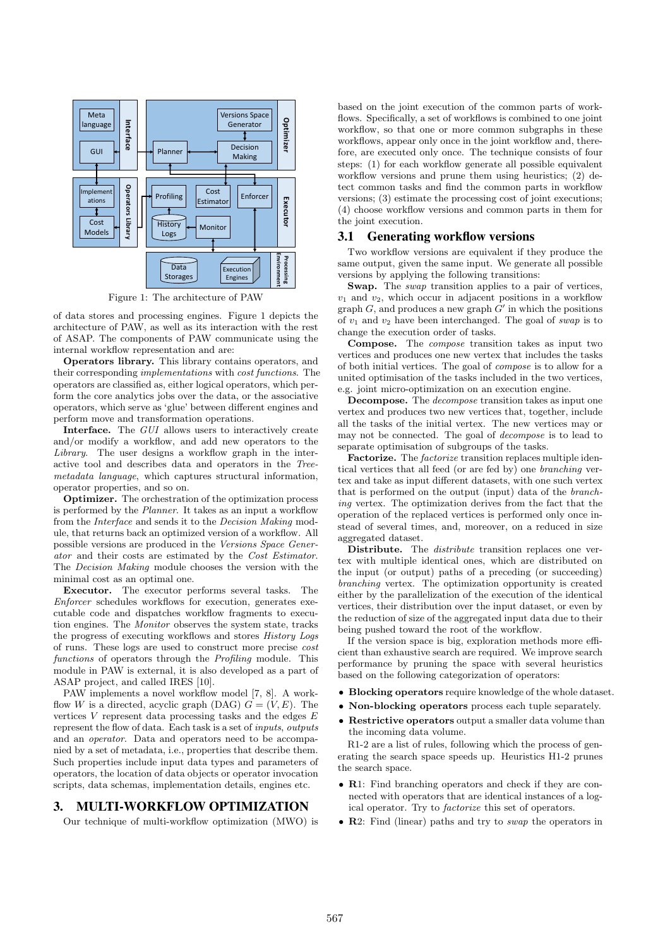

Figure 1: The architecture of PAW

of data stores and processing engines. Figure 1 depicts the architecture of PAW, as well as its interaction with the rest of ASAP. The components of PAW communicate using the internal workflow representation and are:

Operators library. This library contains operators, and their corresponding implementations with cost functions. The operators are classified as, either logical operators, which perform the core analytics jobs over the data, or the associative operators, which serve as 'glue' between different engines and perform move and transformation operations.

Interface. The GUI allows users to interactively create and/or modify a workflow, and add new operators to the Library. The user designs a workflow graph in the interactive tool and describes data and operators in the Treemetadata language, which captures structural information, operator properties, and so on.

Optimizer. The orchestration of the optimization process is performed by the Planner. It takes as an input a workflow from the Interface and sends it to the Decision Making module, that returns back an optimized version of a workflow. All possible versions are produced in the Versions Space Generator and their costs are estimated by the Cost Estimator. The Decision Making module chooses the version with the minimal cost as an optimal one.

Executor. The executor performs several tasks. The Enforcer schedules workflows for execution, generates executable code and dispatches workflow fragments to execution engines. The Monitor observes the system state, tracks the progress of executing workflows and stores History Logs of runs. These logs are used to construct more precise cost functions of operators through the *Profiling* module. This module in PAW is external, it is also developed as a part of ASAP project, and called IRES [10].

PAW implements a novel workflow model [7, 8]. A workflow W is a directed, acyclic graph (DAG)  $G = (V, E)$ . The vertices  $V$  represent data processing tasks and the edges  $E$ represent the flow of data. Each task is a set of inputs, outputs and an operator. Data and operators need to be accompanied by a set of metadata, i.e., properties that describe them. Such properties include input data types and parameters of operators, the location of data objects or operator invocation scripts, data schemas, implementation details, engines etc.

# 3. MULTI-WORKFLOW OPTIMIZATION

Our technique of multi-workflow optimization (MWO) is

based on the joint execution of the common parts of workflows. Specifically, a set of workflows is combined to one joint workflow, so that one or more common subgraphs in these workflows, appear only once in the joint workflow and, therefore, are executed only once. The technique consists of four steps: (1) for each workflow generate all possible equivalent workflow versions and prune them using heuristics; (2) detect common tasks and find the common parts in workflow versions; (3) estimate the processing cost of joint executions; (4) choose workflow versions and common parts in them for the joint execution.

#### 3.1 Generating workflow versions

Two workflow versions are equivalent if they produce the same output, given the same input. We generate all possible versions by applying the following transitions:

Swap. The *swap* transition applies to a pair of vertices,  $v_1$  and  $v_2$ , which occur in adjacent positions in a workflow graph  $G$ , and produces a new graph  $G'$  in which the positions of  $v_1$  and  $v_2$  have been interchanged. The goal of swap is to change the execution order of tasks.

Compose. The compose transition takes as input two vertices and produces one new vertex that includes the tasks of both initial vertices. The goal of compose is to allow for a united optimisation of the tasks included in the two vertices, e.g. joint micro-optimization on an execution engine.

Decompose. The decompose transition takes as input one vertex and produces two new vertices that, together, include all the tasks of the initial vertex. The new vertices may or may not be connected. The goal of decompose is to lead to separate optimisation of subgroups of the tasks.

Factorize. The *factorize* transition replaces multiple identical vertices that all feed (or are fed by) one branching vertex and take as input different datasets, with one such vertex that is performed on the output (input) data of the branching vertex. The optimization derives from the fact that the operation of the replaced vertices is performed only once instead of several times, and, moreover, on a reduced in size aggregated dataset.

Distribute. The *distribute* transition replaces one vertex with multiple identical ones, which are distributed on the input (or output) paths of a preceding (or succeeding) branching vertex. The optimization opportunity is created either by the parallelization of the execution of the identical vertices, their distribution over the input dataset, or even by the reduction of size of the aggregated input data due to their being pushed toward the root of the workflow.

If the version space is big, exploration methods more efficient than exhaustive search are required. We improve search performance by pruning the space with several heuristics based on the following categorization of operators:

- Blocking operators require knowledge of the whole dataset.
- Non-blocking operators process each tuple separately.
- Restrictive operators output a smaller data volume than the incoming data volume.

R1-2 are a list of rules, following which the process of generating the search space speeds up. Heuristics H1-2 prunes the search space.

- R1: Find branching operators and check if they are connected with operators that are identical instances of a logical operator. Try to factorize this set of operators.
- R2: Find (linear) paths and try to *swap* the operators in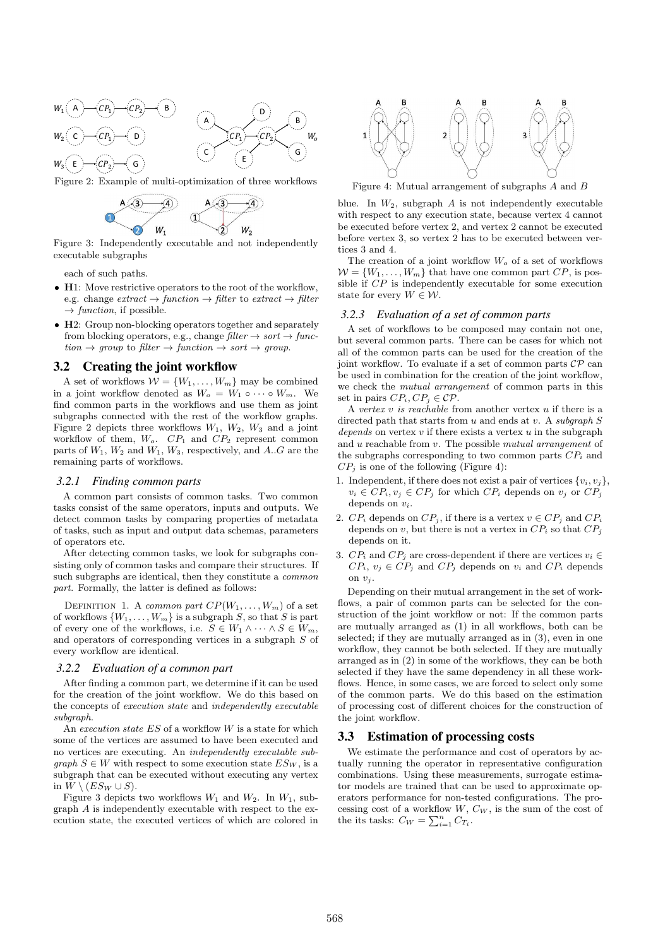

Figure 2: Example of multi-optimization of three workflows



Figure 3: Independently executable and not independently executable subgraphs

each of such paths.

- H1: Move restrictive operators to the root of the workflow, e.g. change  $extract \rightarrow function \rightarrow filter$  to  $extract \rightarrow filter$  $\rightarrow$  function, if possible.
- H2: Group non-blocking operators together and separately from blocking operators, e.g., change  $filter \rightarrow sort \rightarrow func$  $tion \rightarrow group$  to filter  $\rightarrow function \rightarrow sort \rightarrow group$ .

## 3.2 Creating the joint workflow

A set of workflows  $\mathcal{W} = \{W_1, \ldots, W_m\}$  may be combined in a joint workflow denoted as  $W_o = W_1 \circ \cdots \circ W_m$ . We find common parts in the workflows and use them as joint subgraphs connected with the rest of the workflow graphs. Figure 2 depicts three workflows  $W_1$ ,  $W_2$ ,  $W_3$  and a joint workflow of them,  $W_o$ .  $CP_1$  and  $CP_2$  represent common parts of  $W_1$ ,  $W_2$  and  $W_1$ ,  $W_3$ , respectively, and A..G are the remaining parts of workflows.

#### *3.2.1 Finding common parts*

A common part consists of common tasks. Two common tasks consist of the same operators, inputs and outputs. We detect common tasks by comparing properties of metadata of tasks, such as input and output data schemas, parameters of operators etc.

After detecting common tasks, we look for subgraphs consisting only of common tasks and compare their structures. If such subgraphs are identical, then they constitute a common part. Formally, the latter is defined as follows:

DEFINITION 1. A common part  $CP(W_1, \ldots, W_m)$  of a set of workflows  $\{W_1, \ldots, W_m\}$  is a subgraph S, so that S is part of every one of the workflows, i.e.  $S \in W_1 \wedge \cdots \wedge S \in W_m$ , and operators of corresponding vertices in a subgraph S of every workflow are identical.

#### *3.2.2 Evaluation of a common part*

After finding a common part, we determine if it can be used for the creation of the joint workflow. We do this based on the concepts of execution state and independently executable subgraph.

An execution state  $ES$  of a workflow  $W$  is a state for which some of the vertices are assumed to have been executed and no vertices are executing. An independently executable sub*graph*  $S \in W$  with respect to some execution state  $ES_W$ , is a subgraph that can be executed without executing any vertex in  $W \setminus (ES_W \cup S)$ .

Figure 3 depicts two workflows  $W_1$  and  $W_2$ . In  $W_1$ , subgraph A is independently executable with respect to the execution state, the executed vertices of which are colored in



Figure 4: Mutual arrangement of subgraphs A and B

blue. In  $W_2$ , subgraph A is not independently executable with respect to any execution state, because vertex 4 cannot be executed before vertex 2, and vertex 2 cannot be executed before vertex 3, so vertex 2 has to be executed between vertices 3 and 4.

The creation of a joint workflow  $W<sub>o</sub>$  of a set of workflows  $\mathcal{W} = \{W_1, \ldots, W_m\}$  that have one common part  $CP,$  is possible if CP is independently executable for some execution state for every  $W \in \mathcal{W}$ .

#### *3.2.3 Evaluation of a set of common parts*

A set of workflows to be composed may contain not one, but several common parts. There can be cases for which not all of the common parts can be used for the creation of the joint workflow. To evaluate if a set of common parts  $\mathcal{CP}$  can be used in combination for the creation of the joint workflow, we check the mutual arrangement of common parts in this set in pairs  $CP_i, CP_j \in \mathcal{CP}$ .

A vertex  $v$  is reachable from another vertex  $u$  if there is a directed path that starts from  $u$  and ends at  $v$ . A subgraph  $S$ depends on vertex  $v$  if there exists a vertex  $u$  in the subgraph and u reachable from v. The possible mutual arrangement of the subgraphs corresponding to two common parts  $\mathbb{CP}_i$  and  $CP<sub>i</sub>$  is one of the following (Figure 4):

- 1. Independent, if there does not exist a pair of vertices  $\{v_i, v_j\}$ ,  $v_i \in CP_i, v_j \in CP_j$  for which  $CP_i$  depends on  $v_j$  or  $CP_j$ depends on  $v_i$ .
- 2.  $CP_i$  depends on  $CP_j$ , if there is a vertex  $v \in CP_j$  and  $CP_i$ depends on v, but there is not a vertex in  $CP_i$  so that  $CP_j$ depends on it.
- 3.  $CP_i$  and  $CP_j$  are cross-dependent if there are vertices  $v_i \in$  $CP_i$ ,  $v_j \in CP_j$  and  $CP_j$  depends on  $v_i$  and  $CP_i$  depends on  $v_i$ .

Depending on their mutual arrangement in the set of workflows, a pair of common parts can be selected for the construction of the joint workflow or not: If the common parts are mutually arranged as (1) in all workflows, both can be selected; if they are mutually arranged as in (3), even in one workflow, they cannot be both selected. If they are mutually arranged as in (2) in some of the workflows, they can be both selected if they have the same dependency in all these workflows. Hence, in some cases, we are forced to select only some of the common parts. We do this based on the estimation of processing cost of different choices for the construction of the joint workflow.

## 3.3 Estimation of processing costs

We estimate the performance and cost of operators by actually running the operator in representative configuration combinations. Using these measurements, surrogate estimator models are trained that can be used to approximate operators performance for non-tested configurations. The processing cost of a workflow  $W, C_W$ , is the sum of the cost of the its tasks:  $C_W = \sum_{i=1}^n C_{T_i}$ .